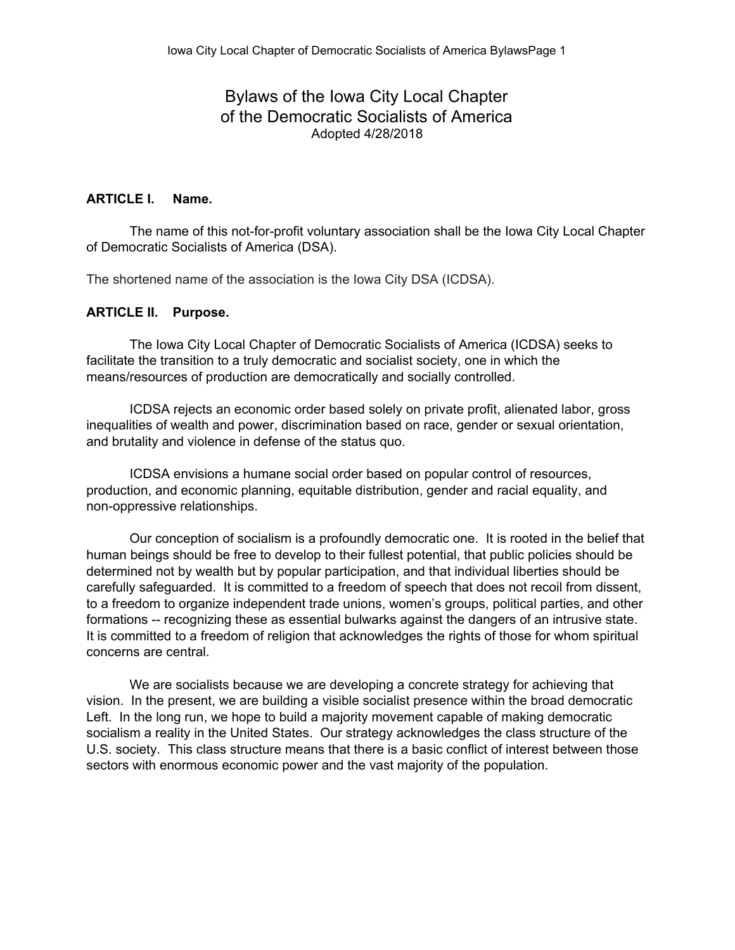# Bylaws of the Iowa City Local Chapter of the Democratic Socialists of America Adopted 4/28/2018

### **ARTICLE I. Name.**

The name of this not-for-profit voluntary association shall be the Iowa City Local Chapter of Democratic Socialists of America (DSA).

The shortened name of the association is the Iowa City DSA (ICDSA).

#### **ARTICLE II. Purpose.**

The Iowa City Local Chapter of Democratic Socialists of America (ICDSA) seeks to facilitate the transition to a truly democratic and socialist society, one in which the means/resources of production are democratically and socially controlled.

ICDSA rejects an economic order based solely on private profit, alienated labor, gross inequalities of wealth and power, discrimination based on race, gender or sexual orientation, and brutality and violence in defense of the status quo.

ICDSA envisions a humane social order based on popular control of resources, production, and economic planning, equitable distribution, gender and racial equality, and non-oppressive relationships.

Our conception of socialism is a profoundly democratic one. It is rooted in the belief that human beings should be free to develop to their fullest potential, that public policies should be determined not by wealth but by popular participation, and that individual liberties should be carefully safeguarded. It is committed to a freedom of speech that does not recoil from dissent, to a freedom to organize independent trade unions, women's groups, political parties, and other formations -- recognizing these as essential bulwarks against the dangers of an intrusive state. It is committed to a freedom of religion that acknowledges the rights of those for whom spiritual concerns are central.

We are socialists because we are developing a concrete strategy for achieving that vision. In the present, we are building a visible socialist presence within the broad democratic Left. In the long run, we hope to build a majority movement capable of making democratic socialism a reality in the United States. Our strategy acknowledges the class structure of the U.S. society. This class structure means that there is a basic conflict of interest between those sectors with enormous economic power and the vast majority of the population.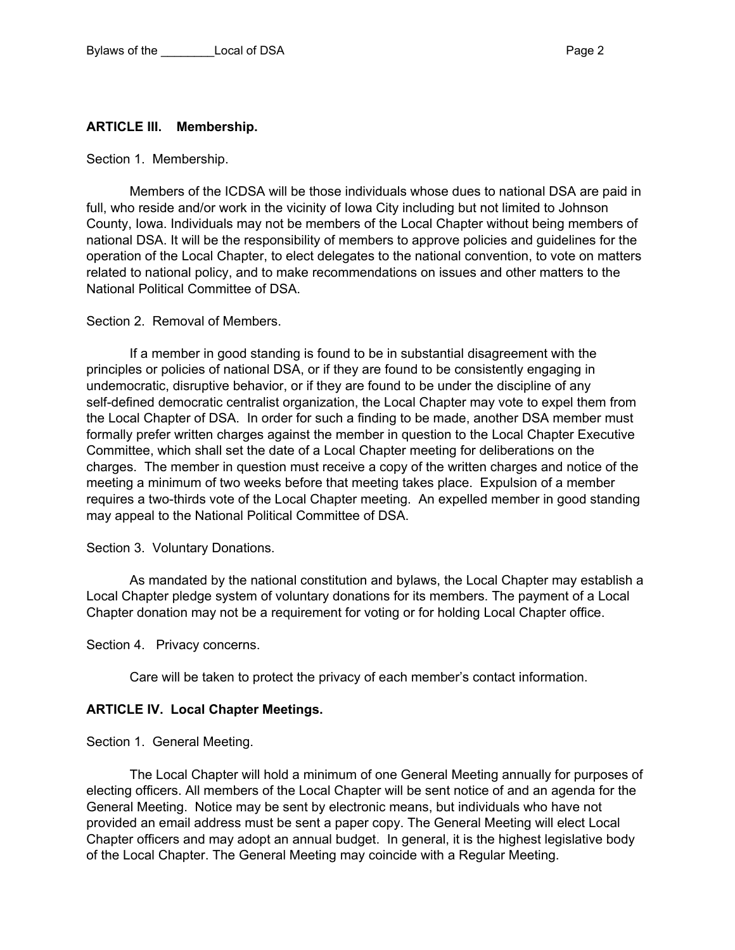#### **ARTICLE III. Membership.**

Section 1. Membership.

Members of the ICDSA will be those individuals whose dues to national DSA are paid in full, who reside and/or work in the vicinity of Iowa City including but not limited to Johnson County, Iowa. Individuals may not be members of the Local Chapter without being members of national DSA. It will be the responsibility of members to approve policies and guidelines for the operation of the Local Chapter, to elect delegates to the national convention, to vote on matters related to national policy, and to make recommendations on issues and other matters to the National Political Committee of DSA.

Section 2. Removal of Members.

If a member in good standing is found to be in substantial disagreement with the principles or policies of national DSA, or if they are found to be consistently engaging in undemocratic, disruptive behavior, or if they are found to be under the discipline of any self-defined democratic centralist organization, the Local Chapter may vote to expel them from the Local Chapter of DSA. In order for such a finding to be made, another DSA member must formally prefer written charges against the member in question to the Local Chapter Executive Committee, which shall set the date of a Local Chapter meeting for deliberations on the charges. The member in question must receive a copy of the written charges and notice of the meeting a minimum of two weeks before that meeting takes place. Expulsion of a member requires a two-thirds vote of the Local Chapter meeting. An expelled member in good standing may appeal to the National Political Committee of DSA.

Section 3. Voluntary Donations.

As mandated by the national constitution and bylaws, the Local Chapter may establish a Local Chapter pledge system of voluntary donations for its members. The payment of a Local Chapter donation may not be a requirement for voting or for holding Local Chapter office.

Section 4. Privacy concerns.

Care will be taken to protect the privacy of each member's contact information.

#### **ARTICLE IV. Local Chapter Meetings.**

Section 1. General Meeting.

The Local Chapter will hold a minimum of one General Meeting annually for purposes of electing officers. All members of the Local Chapter will be sent notice of and an agenda for the General Meeting. Notice may be sent by electronic means, but individuals who have not provided an email address must be sent a paper copy. The General Meeting will elect Local Chapter officers and may adopt an annual budget. In general, it is the highest legislative body of the Local Chapter. The General Meeting may coincide with a Regular Meeting.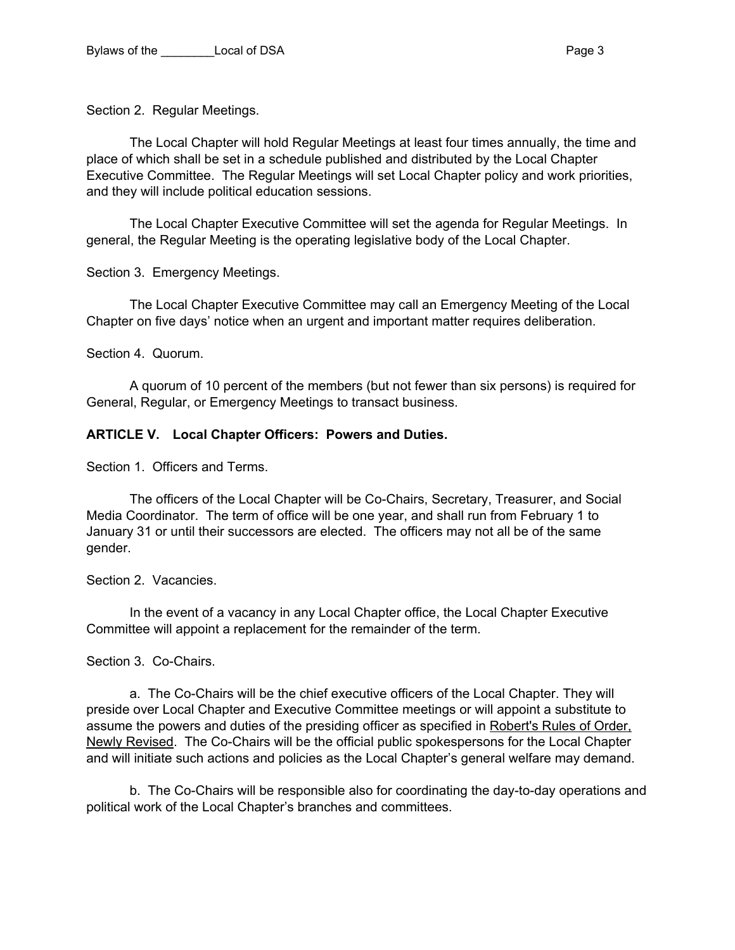Section 2. Regular Meetings.

The Local Chapter will hold Regular Meetings at least four times annually, the time and place of which shall be set in a schedule published and distributed by the Local Chapter Executive Committee. The Regular Meetings will set Local Chapter policy and work priorities, and they will include political education sessions.

The Local Chapter Executive Committee will set the agenda for Regular Meetings. In general, the Regular Meeting is the operating legislative body of the Local Chapter.

Section 3. Emergency Meetings.

The Local Chapter Executive Committee may call an Emergency Meeting of the Local Chapter on five days' notice when an urgent and important matter requires deliberation.

Section 4. Quorum.

A quorum of 10 percent of the members (but not fewer than six persons) is required for General, Regular, or Emergency Meetings to transact business.

### **ARTICLE V. Local Chapter Officers: Powers and Duties.**

Section 1. Officers and Terms.

The officers of the Local Chapter will be Co-Chairs, Secretary, Treasurer, and Social Media Coordinator. The term of office will be one year, and shall run from February 1 to January 31 or until their successors are elected. The officers may not all be of the same gender.

Section 2. Vacancies.

In the event of a vacancy in any Local Chapter office, the Local Chapter Executive Committee will appoint a replacement for the remainder of the term.

## Section 3. Co-Chairs.

a. The Co-Chairs will be the chief executive officers of the Local Chapter. They will preside over Local Chapter and Executive Committee meetings or will appoint a substitute to assume the powers and duties of the presiding officer as specified in Robert's Rules of Order. Newly Revised. The Co-Chairs will be the official public spokespersons for the Local Chapter and will initiate such actions and policies as the Local Chapter's general welfare may demand.

b. The Co-Chairs will be responsible also for coordinating the day-to-day operations and political work of the Local Chapter's branches and committees.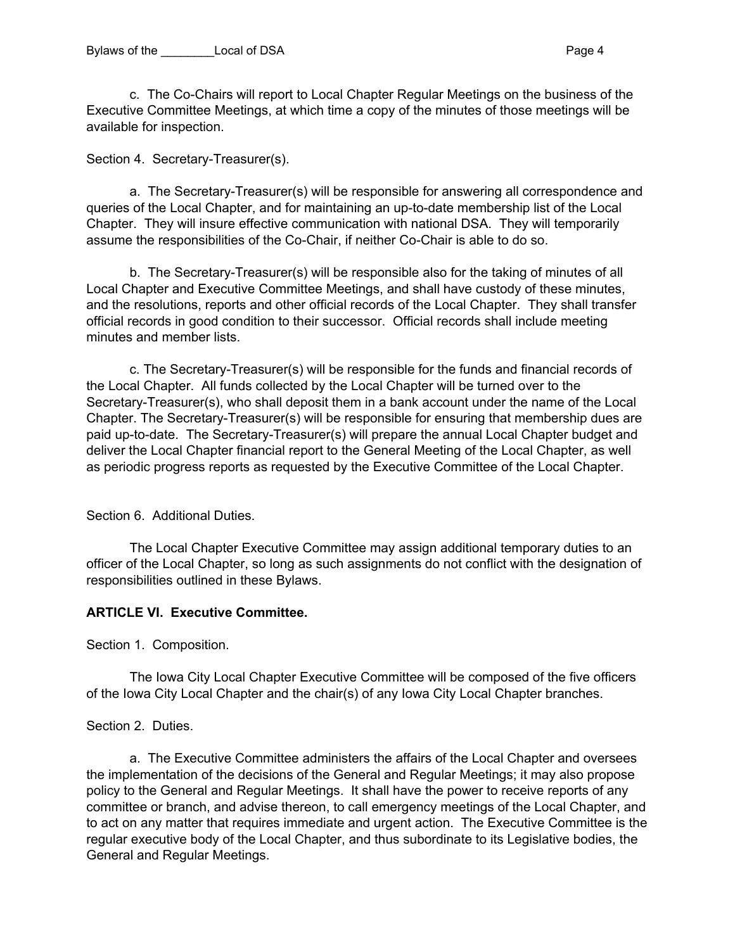c. The Co-Chairs will report to Local Chapter Regular Meetings on the business of the Executive Committee Meetings, at which time a copy of the minutes of those meetings will be available for inspection.

Section 4. Secretary-Treasurer(s).

a. The Secretary-Treasurer(s) will be responsible for answering all correspondence and queries of the Local Chapter, and for maintaining an up-to-date membership list of the Local Chapter. They will insure effective communication with national DSA. They will temporarily assume the responsibilities of the Co-Chair, if neither Co-Chair is able to do so.

b. The Secretary-Treasurer(s) will be responsible also for the taking of minutes of all Local Chapter and Executive Committee Meetings, and shall have custody of these minutes, and the resolutions, reports and other official records of the Local Chapter. They shall transfer official records in good condition to their successor. Official records shall include meeting minutes and member lists.

c. The Secretary-Treasurer(s) will be responsible for the funds and financial records of the Local Chapter. All funds collected by the Local Chapter will be turned over to the Secretary-Treasurer(s), who shall deposit them in a bank account under the name of the Local Chapter. The Secretary-Treasurer(s) will be responsible for ensuring that membership dues are paid up-to-date. The Secretary-Treasurer(s) will prepare the annual Local Chapter budget and deliver the Local Chapter financial report to the General Meeting of the Local Chapter, as well as periodic progress reports as requested by the Executive Committee of the Local Chapter.

Section 6. Additional Duties.

The Local Chapter Executive Committee may assign additional temporary duties to an officer of the Local Chapter, so long as such assignments do not conflict with the designation of responsibilities outlined in these Bylaws.

#### **ARTICLE VI. Executive Committee.**

Section 1. Composition.

The Iowa City Local Chapter Executive Committee will be composed of the five officers of the Iowa City Local Chapter and the chair(s) of any Iowa City Local Chapter branches.

#### Section 2. Duties.

a. The Executive Committee administers the affairs of the Local Chapter and oversees the implementation of the decisions of the General and Regular Meetings; it may also propose policy to the General and Regular Meetings. It shall have the power to receive reports of any committee or branch, and advise thereon, to call emergency meetings of the Local Chapter, and to act on any matter that requires immediate and urgent action. The Executive Committee is the regular executive body of the Local Chapter, and thus subordinate to its Legislative bodies, the General and Regular Meetings.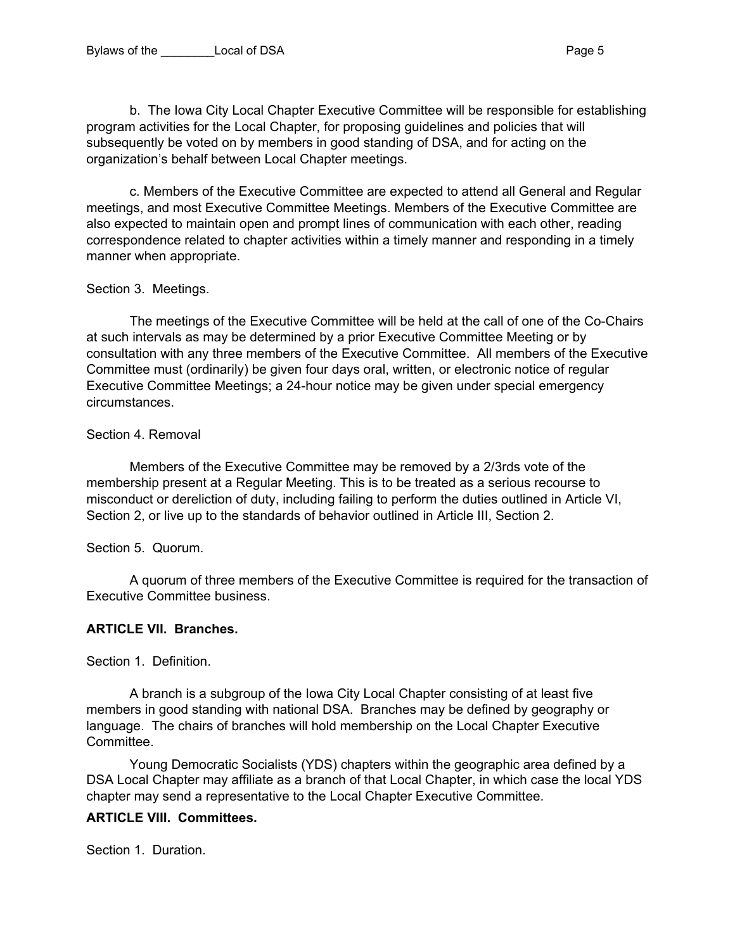b. The Iowa City Local Chapter Executive Committee will be responsible for establishing program activities for the Local Chapter, for proposing guidelines and policies that will subsequently be voted on by members in good standing of DSA, and for acting on the organization's behalf between Local Chapter meetings.

c. Members of the Executive Committee are expected to attend all General and Regular meetings, and most Executive Committee Meetings. Members of the Executive Committee are also expected to maintain open and prompt lines of communication with each other, reading correspondence related to chapter activities within a timely manner and responding in a timely manner when appropriate.

# Section 3. Meetings.

The meetings of the Executive Committee will be held at the call of one of the Co-Chairs at such intervals as may be determined by a prior Executive Committee Meeting or by consultation with any three members of the Executive Committee. All members of the Executive Committee must (ordinarily) be given four days oral, written, or electronic notice of regular Executive Committee Meetings; a 24-hour notice may be given under special emergency circumstances.

#### Section 4. Removal

Members of the Executive Committee may be removed by a 2/3rds vote of the membership present at a Regular Meeting. This is to be treated as a serious recourse to misconduct or dereliction of duty, including failing to perform the duties outlined in Article VI, Section 2, or live up to the standards of behavior outlined in Article III, Section 2.

#### Section 5. Quorum.

A quorum of three members of the Executive Committee is required for the transaction of Executive Committee business.

## **ARTICLE VII. Branches.**

Section 1. Definition.

A branch is a subgroup of the Iowa City Local Chapter consisting of at least five members in good standing with national DSA. Branches may be defined by geography or language. The chairs of branches will hold membership on the Local Chapter Executive Committee.

Young Democratic Socialists (YDS) chapters within the geographic area defined by a DSA Local Chapter may affiliate as a branch of that Local Chapter, in which case the local YDS chapter may send a representative to the Local Chapter Executive Committee.

## **ARTICLE VIII. Committees.**

Section 1. Duration.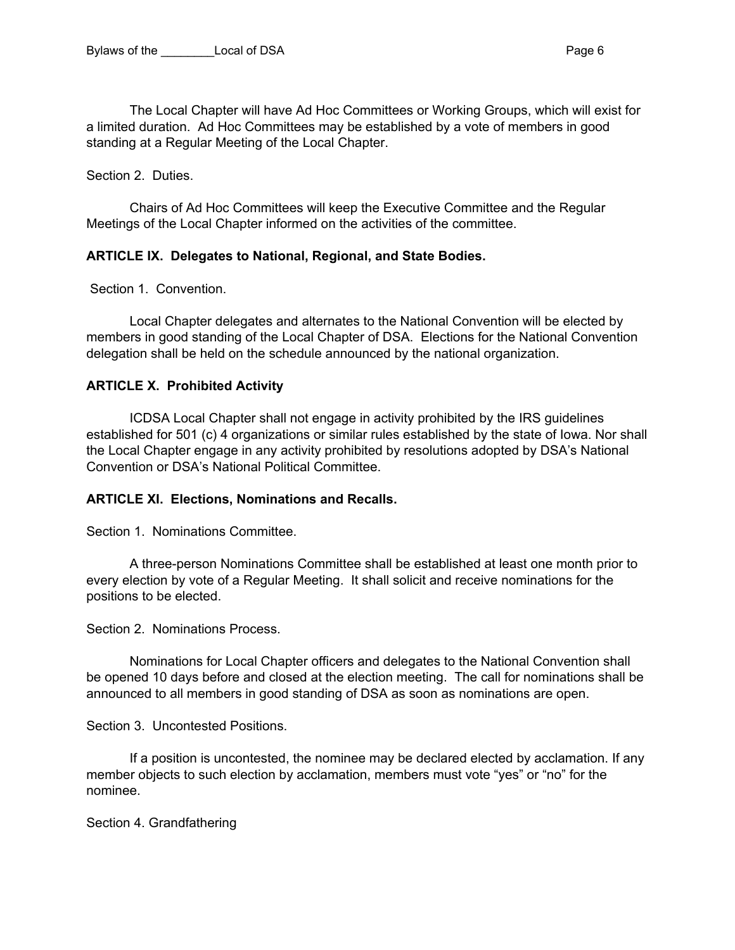The Local Chapter will have Ad Hoc Committees or Working Groups, which will exist for a limited duration. Ad Hoc Committees may be established by a vote of members in good standing at a Regular Meeting of the Local Chapter.

Section 2. Duties.

Chairs of Ad Hoc Committees will keep the Executive Committee and the Regular Meetings of the Local Chapter informed on the activities of the committee.

### **ARTICLE IX. Delegates to National, Regional, and State Bodies.**

Section 1. Convention.

Local Chapter delegates and alternates to the National Convention will be elected by members in good standing of the Local Chapter of DSA. Elections for the National Convention delegation shall be held on the schedule announced by the national organization.

### **ARTICLE X. Prohibited Activity**

ICDSA Local Chapter shall not engage in activity prohibited by the IRS guidelines established for 501 (c) 4 organizations or similar rules established by the state of Iowa. Nor shall the Local Chapter engage in any activity prohibited by resolutions adopted by DSA's National Convention or DSA's National Political Committee.

#### **ARTICLE XI. Elections, Nominations and Recalls.**

Section 1. Nominations Committee.

A three-person Nominations Committee shall be established at least one month prior to every election by vote of a Regular Meeting. It shall solicit and receive nominations for the positions to be elected.

Section 2. Nominations Process.

Nominations for Local Chapter officers and delegates to the National Convention shall be opened 10 days before and closed at the election meeting. The call for nominations shall be announced to all members in good standing of DSA as soon as nominations are open.

Section 3. Uncontested Positions.

If a position is uncontested, the nominee may be declared elected by acclamation. If any member objects to such election by acclamation, members must vote "yes" or "no" for the nominee.

Section 4. Grandfathering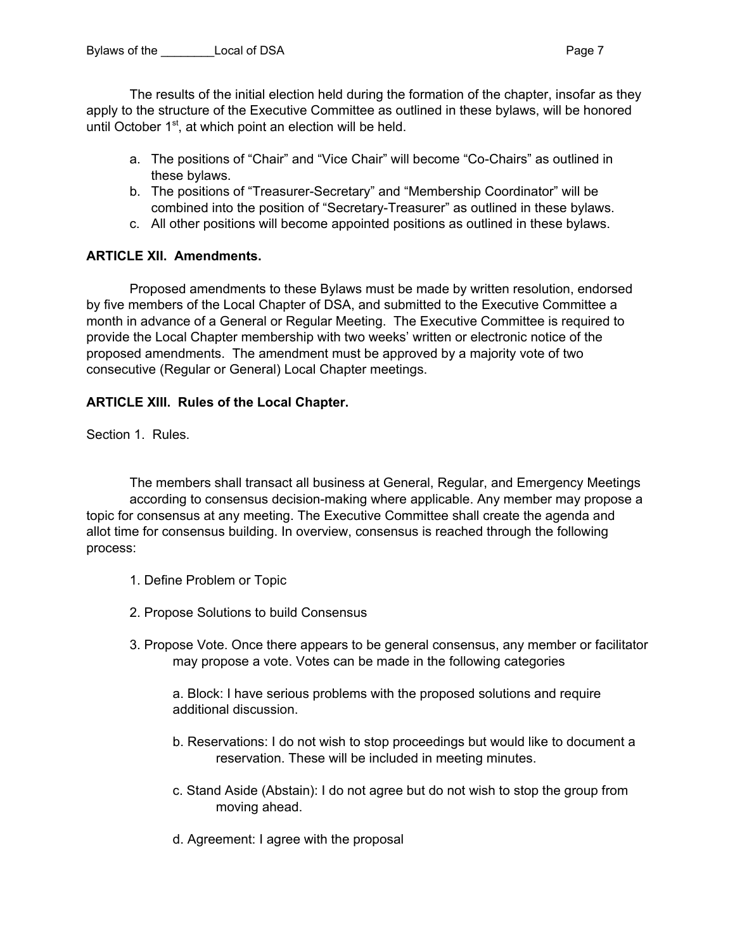The results of the initial election held during the formation of the chapter, insofar as they apply to the structure of the Executive Committee as outlined in these bylaws, will be honored until October 1<sup>st</sup>, at which point an election will be held.

- a. The positions of "Chair" and "Vice Chair" will become "Co-Chairs" as outlined in these bylaws.
- b. The positions of "Treasurer-Secretary" and "Membership Coordinator" will be combined into the position of "Secretary-Treasurer" as outlined in these bylaws.
- c. All other positions will become appointed positions as outlined in these bylaws.

# **ARTICLE XII. Amendments.**

Proposed amendments to these Bylaws must be made by written resolution, endorsed by five members of the Local Chapter of DSA, and submitted to the Executive Committee a month in advance of a General or Regular Meeting. The Executive Committee is required to provide the Local Chapter membership with two weeks' written or electronic notice of the proposed amendments. The amendment must be approved by a majority vote of two consecutive (Regular or General) Local Chapter meetings.

# **ARTICLE XIII. Rules of the Local Chapter.**

Section 1. Rules.

The members shall transact all business at General, Regular, and Emergency Meetings according to consensus decision-making where applicable. Any member may propose a topic for consensus at any meeting. The Executive Committee shall create the agenda and allot time for consensus building. In overview, consensus is reached through the following process:

- 1. Define Problem or Topic
- 2. Propose Solutions to build Consensus
- 3. Propose Vote. Once there appears to be general consensus, any member or facilitator may propose a vote. Votes can be made in the following categories

a. Block: I have serious problems with the proposed solutions and require additional discussion.

- b. Reservations: I do not wish to stop proceedings but would like to document a reservation. These will be included in meeting minutes.
- c. Stand Aside (Abstain): I do not agree but do not wish to stop the group from moving ahead.
- d. Agreement: I agree with the proposal